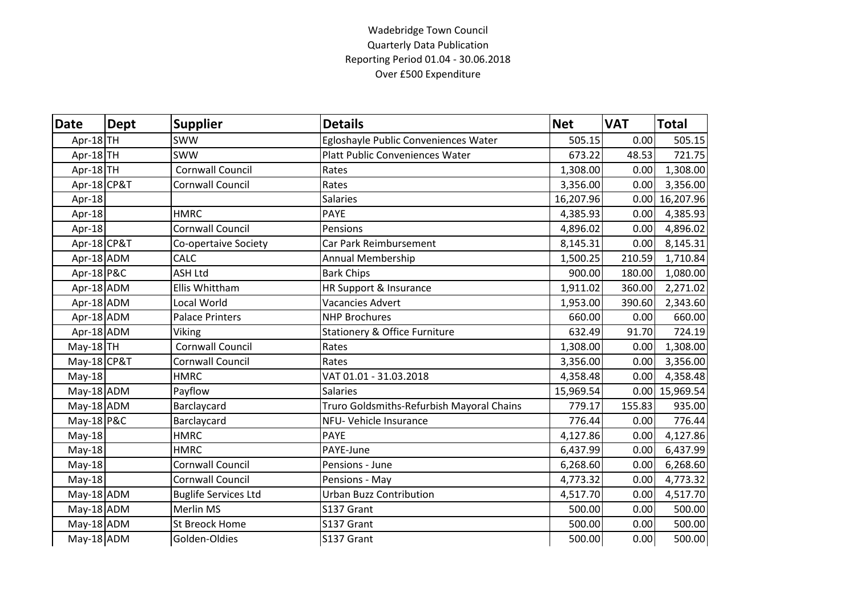## Wadebridge Town Council Quarterly Data Publication Reporting Period 01.04 - 30.06.2018 Over £500 Expenditure

| <b>Date</b>  | <b>Dept</b> | <b>Supplier</b>             | <b>Details</b>                            | <b>Net</b> | <b>VAT</b> | <b>Total</b>     |
|--------------|-------------|-----------------------------|-------------------------------------------|------------|------------|------------------|
| Apr-18TH     |             | <b>SWW</b>                  | Egloshayle Public Conveniences Water      | 505.15     | 0.00       | 505.15           |
| Apr-18TH     |             | <b>SWW</b>                  | <b>Platt Public Conveniences Water</b>    | 673.22     | 48.53      | 721.75           |
| Apr-18TH     |             | Cornwall Council            | Rates                                     | 1,308.00   | 0.00       | 1,308.00         |
| Apr-18 CP&T  |             | Cornwall Council            | Rates                                     | 3,356.00   | 0.00       | 3,356.00         |
| Apr-18       |             |                             | <b>Salaries</b>                           | 16,207.96  | 0.00       | 16,207.96        |
| Apr-18       |             | <b>HMRC</b>                 | <b>PAYE</b>                               | 4,385.93   | 0.00       | 4,385.93         |
| Apr-18       |             | <b>Cornwall Council</b>     | Pensions                                  | 4,896.02   | 0.00       | 4,896.02         |
| Apr-18 CP&T  |             | Co-opertaive Society        | Car Park Reimbursement                    | 8,145.31   | 0.00       | 8,145.31         |
| Apr-18 ADM   |             | CALC                        | <b>Annual Membership</b>                  | 1,500.25   | 210.59     | 1,710.84         |
| Apr-18 P&C   |             | <b>ASH Ltd</b>              | <b>Bark Chips</b>                         | 900.00     | 180.00     | 1,080.00         |
| Apr-18 ADM   |             | Ellis Whittham              | HR Support & Insurance                    | 1,911.02   | 360.00     | 2,271.02         |
| Apr-18 ADM   |             | Local World                 | <b>Vacancies Advert</b>                   | 1,953.00   | 390.60     | 2,343.60         |
| Apr-18 ADM   |             | <b>Palace Printers</b>      | <b>NHP Brochures</b>                      | 660.00     | 0.00       | 660.00           |
| Apr-18 ADM   |             | Viking                      | <b>Stationery &amp; Office Furniture</b>  | 632.49     | 91.70      | 724.19           |
| $May-18$ TH  |             | <b>Cornwall Council</b>     | Rates                                     | 1,308.00   | 0.00       | 1,308.00         |
| May-18 CP&T  |             | <b>Cornwall Council</b>     | Rates                                     | 3,356.00   | 0.00       | 3,356.00         |
| $May-18$     |             | <b>HMRC</b>                 | VAT 01.01 - 31.03.2018                    | 4,358.48   | 0.00       | 4,358.48         |
| $May-18$ ADM |             | Payflow                     | <b>Salaries</b>                           | 15,969.54  |            | $0.00$ 15,969.54 |
| May-18 ADM   |             | Barclaycard                 | Truro Goldsmiths-Refurbish Mayoral Chains | 779.17     | 155.83     | 935.00           |
| May-18 P&C   |             | Barclaycard                 | NFU- Vehicle Insurance                    | 776.44     | 0.00       | 776.44           |
| $May-18$     |             | <b>HMRC</b>                 | <b>PAYE</b>                               | 4,127.86   | 0.00       | 4,127.86         |
| $May-18$     |             | <b>HMRC</b>                 | PAYE-June                                 | 6,437.99   | 0.00       | 6,437.99         |
| May-18       |             | <b>Cornwall Council</b>     | Pensions - June                           | 6,268.60   | 0.00       | 6,268.60         |
| $May-18$     |             | <b>Cornwall Council</b>     | Pensions - May                            | 4,773.32   | 0.00       | 4,773.32         |
| $May-18$ ADM |             | <b>Buglife Services Ltd</b> | <b>Urban Buzz Contribution</b>            | 4,517.70   | 0.00       | 4,517.70         |
| May-18 ADM   |             | <b>Merlin MS</b>            | S137 Grant                                | 500.00     | 0.00       | 500.00           |
| May-18 ADM   |             | <b>St Breock Home</b>       | S137 Grant                                | 500.00     | 0.00       | 500.00           |
| May-18 ADM   |             | Golden-Oldies               | S137 Grant                                | 500.00     | 0.00       | 500.00           |